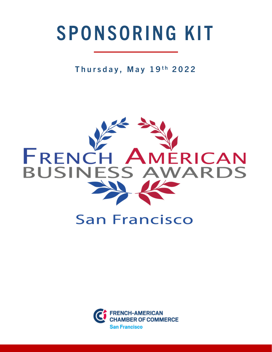# SPONSORING KIT

Thursday, May 19th 2022



## **San Francisco**

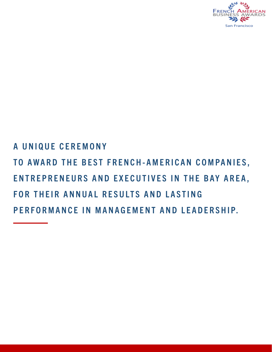

## A UNIQUE CEREMONY TO AWARD THE BEST FRENCH-AMERICAN COMPANIES, ENTREPRENEURS AND EXECUTIVES IN THE BAY AREA, FOR THEIR ANNUAL RESULTS AND LASTING PERFORMANCE IN MANAGEMENT AND LEADERSHIP.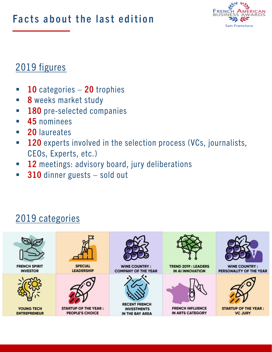

#### 2019 figures

- 10 categories 20 trophies
- § 8 weeks market study
- **180** pre-selected companies
- § 45 nominees
- 20 laureates
- $\blacksquare$  120 experts involved in the selection process (VCs, journalists, CEOs, Experts, etc.)
- **12** meetings: advisory board, jury deliberations
- **310** dinner guests sold out

#### 2019 categories

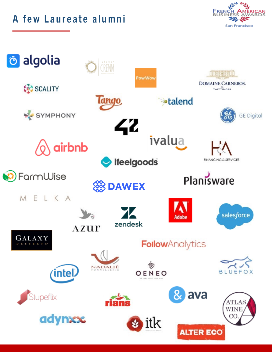A few Laureate alumni



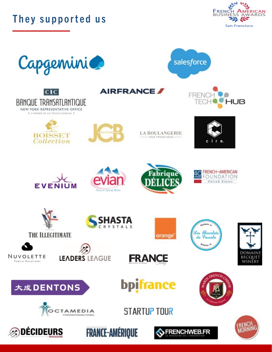



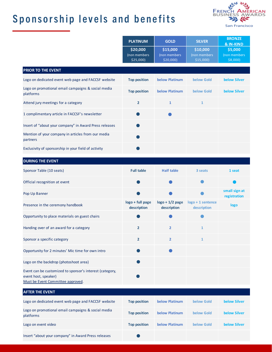### Sponsorship levels and benefits



|                                                                                                                       | <b>PLATINUM</b>                       | <b>GOLD</b>                           | <b>SILVER</b>                           | <b>BRONZE</b><br>& IN-KIND            |
|-----------------------------------------------------------------------------------------------------------------------|---------------------------------------|---------------------------------------|-----------------------------------------|---------------------------------------|
|                                                                                                                       | \$20,000<br>(non members<br>\$25,000) | \$15,000<br>(non members<br>\$20,000) | \$10,000<br>(non members<br>$$15,000$ ) | \$5,000<br>(non members<br>$$8,000$ ) |
| PRIOR TO THE EVENT                                                                                                    |                                       |                                       |                                         |                                       |
| Logo on dedicated event web page and FACCSF website                                                                   | <b>Top position</b>                   | <b>below Platinum</b>                 | below Gold                              | <b>below Silver</b>                   |
| Logo on promotional email campaigns & social media<br>platforms                                                       | <b>Top position</b>                   | below Platinum                        | below Gold                              | <b>below Silver</b>                   |
| Attend jury meetings for a category                                                                                   | $\overline{2}$                        | $\mathbf{1}$                          | $\mathbf{1}$                            |                                       |
| 1 complimentary article in FACCSF's newsletter                                                                        |                                       |                                       |                                         |                                       |
| Insert of "about your company" in Award Press releases                                                                |                                       |                                       |                                         |                                       |
| Mention of your company in articles from our media<br>partners                                                        |                                       |                                       |                                         |                                       |
| Exclusivity of sponsorship in your field of activity                                                                  |                                       |                                       |                                         |                                       |
| <b>DURING THE EVENT</b>                                                                                               |                                       |                                       |                                         |                                       |
| Sponsor Table (10 seats)                                                                                              | <b>Full table</b>                     | <b>Half table</b>                     | 3 seats                                 | 1 seat                                |
| Official recognition at event                                                                                         |                                       |                                       |                                         |                                       |
| Pop Up Banner                                                                                                         |                                       |                                       |                                         | small sign at<br>registration         |
| Presence in the ceremony handbook                                                                                     | logo + full page<br>description       | $logo + 1/2$ page<br>description      | logo + 1 sentence<br>description        | logo                                  |
| Opportunity to place materials on guest chairs                                                                        |                                       |                                       |                                         |                                       |
| Handing over of an award for a category                                                                               | $\overline{2}$                        | $\overline{2}$                        | $\mathbf{1}$                            |                                       |
| Sponsor a specific category                                                                                           | $\overline{2}$                        | $\overline{2}$                        | $\mathbf{1}$                            |                                       |
| Opportunity for 2 minutes' Mic time for own intro                                                                     |                                       |                                       |                                         |                                       |
| Logo on the backdrop (photoshoot area)                                                                                |                                       |                                       |                                         |                                       |
| Event can be customized to sponsor's interest (category,<br>event host, speaker)<br>Must be Event Committee approved. |                                       |                                       |                                         |                                       |
| <b>AFTER THE EVENT</b>                                                                                                |                                       |                                       |                                         |                                       |
| Logo on dedicated event web page and FACCSF website                                                                   | <b>Top position</b>                   | below Platinum                        | below Gold                              | <b>below Silver</b>                   |
| Logo on promotional email campaigns & social media<br>platforms                                                       | <b>Top position</b>                   | <b>below Platinum</b>                 | below Gold                              | <b>below Silver</b>                   |
| Logo on event video                                                                                                   | <b>Top position</b>                   | <b>below Platinum</b>                 | below Gold                              | <b>below Silver</b>                   |
| Insert "about your company" in Award Press releases                                                                   |                                       |                                       |                                         |                                       |